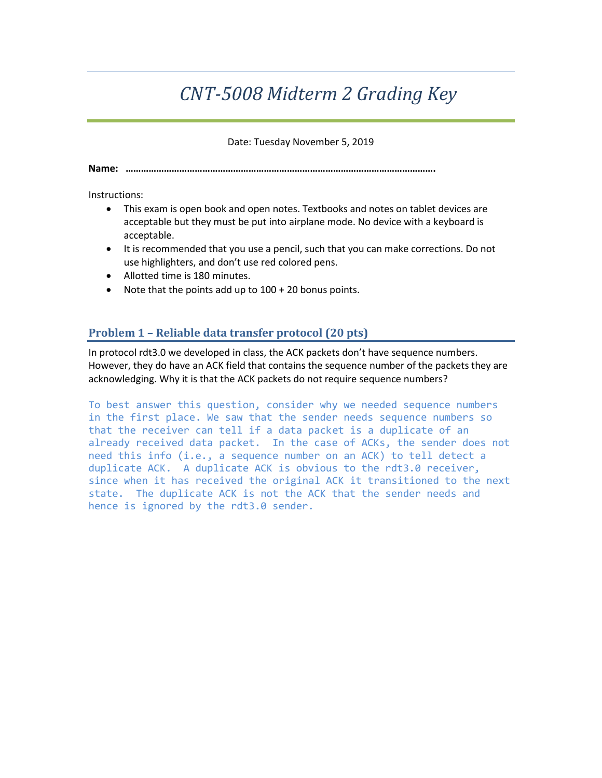# *CNT-5008 Midterm 2 Grading Key*

Date: Tuesday November 5, 2019

**Name: ………………………………………………………………………………………………………….**

Instructions:

- This exam is open book and open notes. Textbooks and notes on tablet devices are acceptable but they must be put into airplane mode. No device with a keyboard is acceptable.
- It is recommended that you use a pencil, such that you can make corrections. Do not use highlighters, and don't use red colored pens.
- Allotted time is 180 minutes.
- Note that the points add up to 100 + 20 bonus points.

# **Problem 1 – Reliable data transfer protocol (20 pts)**

In protocol rdt3.0 we developed in class, the ACK packets don't have sequence numbers. However, they do have an ACK field that contains the sequence number of the packets they are acknowledging. Why it is that the ACK packets do not require sequence numbers?

To best answer this question, consider why we needed sequence numbers in the first place. We saw that the sender needs sequence numbers so that the receiver can tell if a data packet is a duplicate of an already received data packet. In the case of ACKs, the sender does not need this info (i.e., a sequence number on an ACK) to tell detect a duplicate ACK. A duplicate ACK is obvious to the rdt3.0 receiver, since when it has received the original ACK it transitioned to the next state. The duplicate ACK is not the ACK that the sender needs and hence is ignored by the rdt3.0 sender.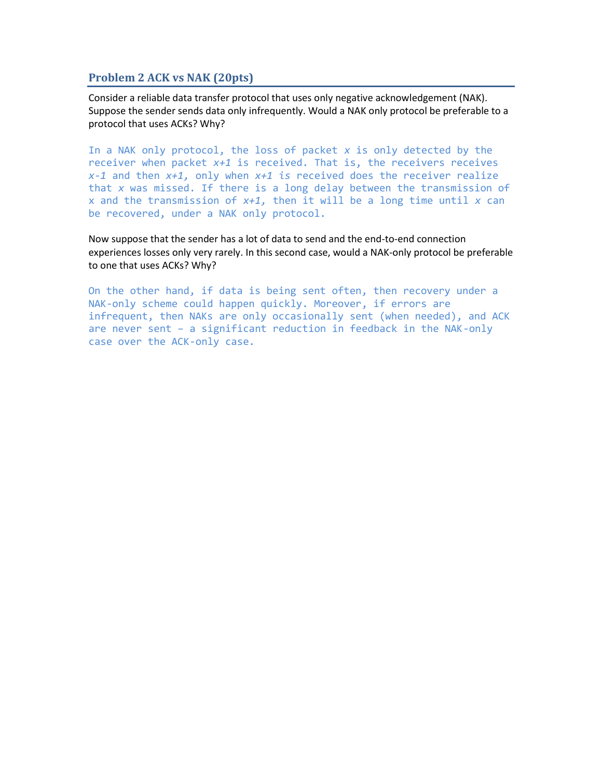#### **Problem 2 ACK vs NAK (20pts)**

Consider a reliable data transfer protocol that uses only negative acknowledgement (NAK). Suppose the sender sends data only infrequently. Would a NAK only protocol be preferable to a protocol that uses ACKs? Why?

In a NAK only protocol, the loss of packet *x* is only detected by the receiver when packet *x+1* is received. That is, the receivers receives *x-1* and then *x+1,* only when *x+1 is* received does the receiver realize that *x* was missed. If there is a long delay between the transmission of x and the transmission of *x+1,* then it will be a long time until *x* can be recovered, under a NAK only protocol.

Now suppose that the sender has a lot of data to send and the end-to-end connection experiences losses only very rarely. In this second case, would a NAK-only protocol be preferable to one that uses ACKs? Why?

On the other hand, if data is being sent often, then recovery under a NAK-only scheme could happen quickly. Moreover, if errors are infrequent, then NAKs are only occasionally sent (when needed), and ACK are never sent – a significant reduction in feedback in the NAK-only case over the ACK-only case.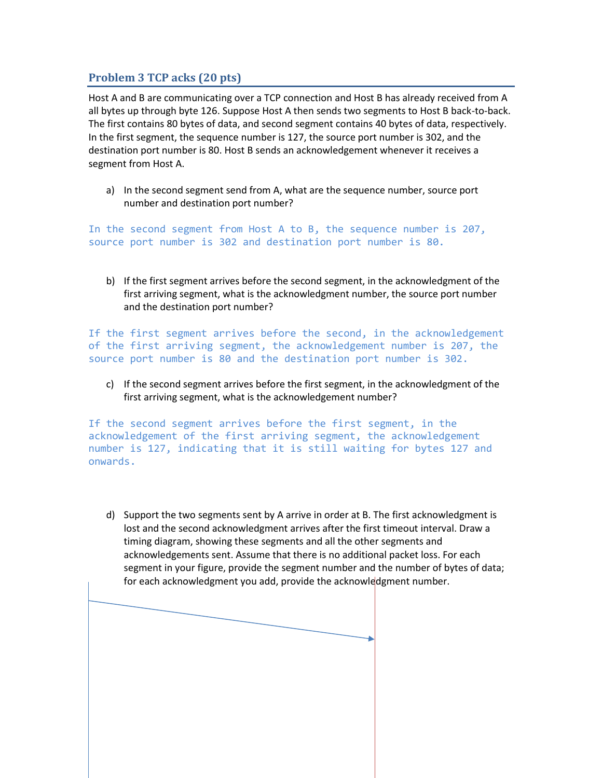# **Problem 3 TCP acks (20 pts)**

Host A and B are communicating over a TCP connection and Host B has already received from A all bytes up through byte 126. Suppose Host A then sends two segments to Host B back-to-back. The first contains 80 bytes of data, and second segment contains 40 bytes of data, respectively. In the first segment, the sequence number is 127, the source port number is 302, and the destination port number is 80. Host B sends an acknowledgement whenever it receives a segment from Host A.

a) In the second segment send from A, what are the sequence number, source port number and destination port number?

In the second segment from Host A to B, the sequence number is 207, source port number is 302 and destination port number is 80.

b) If the first segment arrives before the second segment, in the acknowledgment of the first arriving segment, what is the acknowledgment number, the source port number and the destination port number?

If the first segment arrives before the second, in the acknowledgement of the first arriving segment, the acknowledgement number is 207, the source port number is 80 and the destination port number is 302.

c) If the second segment arrives before the first segment, in the acknowledgment of the first arriving segment, what is the acknowledgement number?

If the second segment arrives before the first segment, in the acknowledgement of the first arriving segment, the acknowledgement number is 127, indicating that it is still waiting for bytes 127 and onwards.

d) Support the two segments sent by A arrive in order at B. The first acknowledgment is lost and the second acknowledgment arrives after the first timeout interval. Draw a timing diagram, showing these segments and all the other segments and acknowledgements sent. Assume that there is no additional packet loss. For each segment in your figure, provide the segment number and the number of bytes of data; for each acknowledgment you add, provide the acknowledgment number.

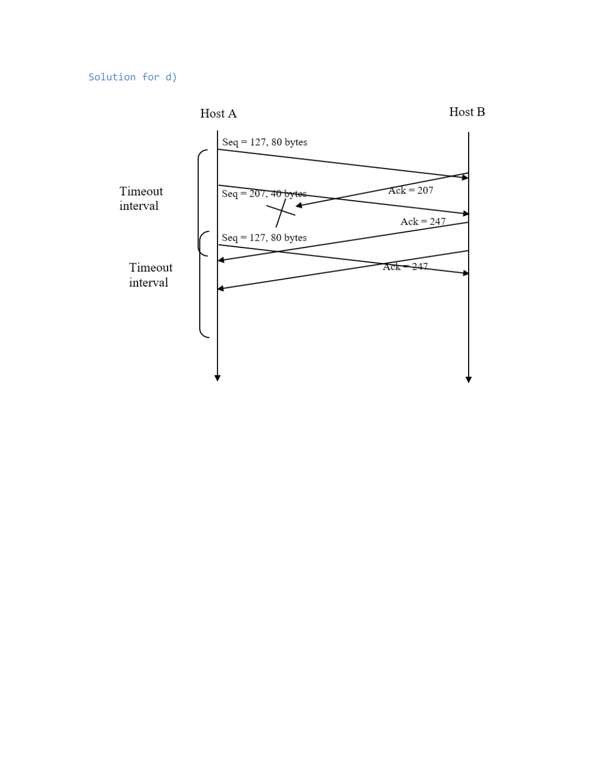Solution for d)

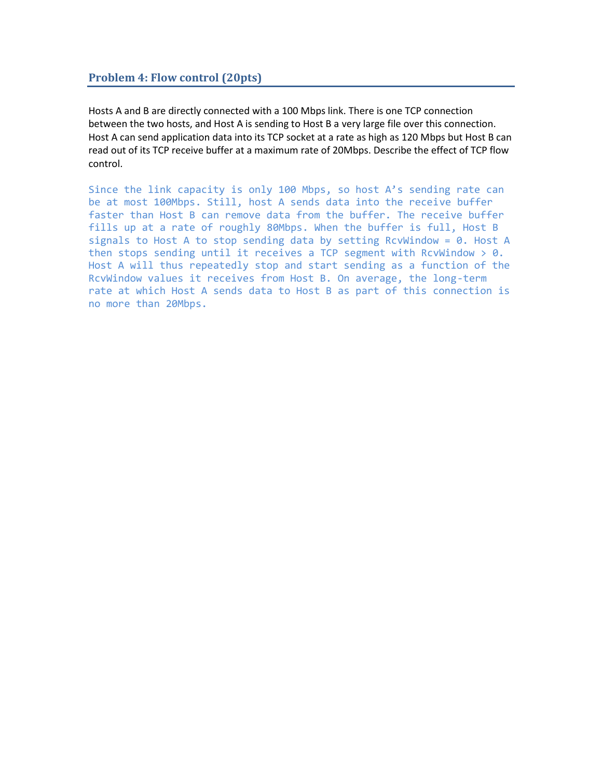### **Problem 4: Flow control (20pts)**

Hosts A and B are directly connected with a 100 Mbps link. There is one TCP connection between the two hosts, and Host A is sending to Host B a very large file over this connection. Host A can send application data into its TCP socket at a rate as high as 120 Mbps but Host B can read out of its TCP receive buffer at a maximum rate of 20Mbps. Describe the effect of TCP flow control.

Since the link capacity is only 100 Mbps, so host A's sending rate can be at most 100Mbps. Still, host A sends data into the receive buffer faster than Host B can remove data from the buffer. The receive buffer fills up at a rate of roughly 80Mbps. When the buffer is full, Host B signals to Host A to stop sending data by setting RcvWindow =  $0$ . Host A then stops sending until it receives a TCP segment with RcvWindow  $> 0$ . Host A will thus repeatedly stop and start sending as a function of the RcvWindow values it receives from Host B. On average, the long-term rate at which Host A sends data to Host B as part of this connection is no more than 20Mbps.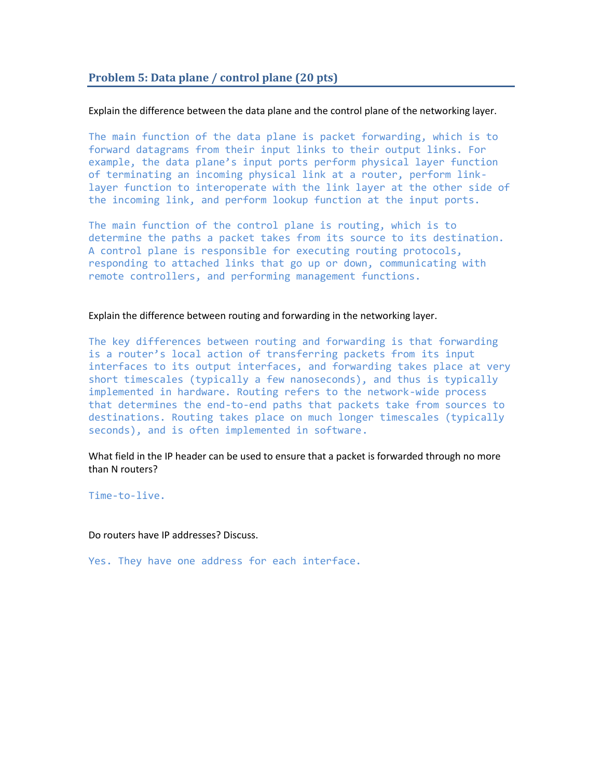## **Problem 5: Data plane / control plane (20 pts)**

#### Explain the difference between the data plane and the control plane of the networking layer.

The main function of the data plane is packet forwarding, which is to forward datagrams from their input links to their output links. For example, the data plane's input ports perform physical layer function of terminating an incoming physical link at a router, perform linklayer function to interoperate with the link layer at the other side of the incoming link, and perform lookup function at the input ports.

The main function of the control plane is routing, which is to determine the paths a packet takes from its source to its destination. A control plane is responsible for executing routing protocols, responding to attached links that go up or down, communicating with remote controllers, and performing management functions.

#### Explain the difference between routing and forwarding in the networking layer.

The key differences between routing and forwarding is that forwarding is a router's local action of transferring packets from its input interfaces to its output interfaces, and forwarding takes place at very short timescales (typically a few nanoseconds), and thus is typically implemented in hardware. Routing refers to the network-wide process that determines the end-to-end paths that packets take from sources to destinations. Routing takes place on much longer timescales (typically seconds), and is often implemented in software.

What field in the IP header can be used to ensure that a packet is forwarded through no more than N routers?

Time-to-live.

Do routers have IP addresses? Discuss.

Yes. They have one address for each interface.